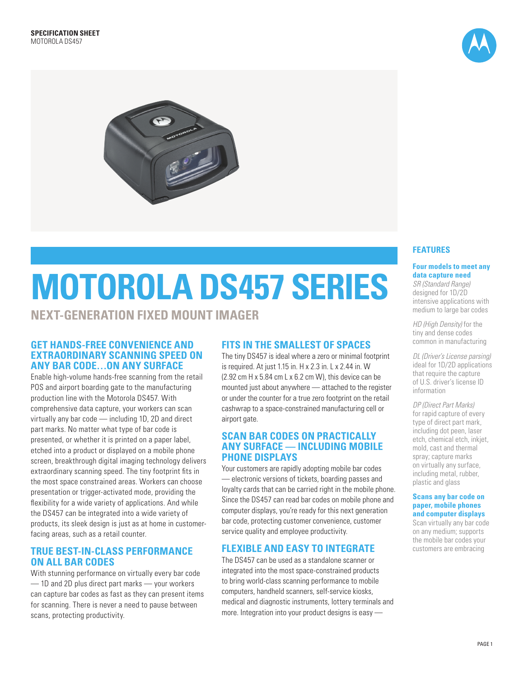



# **MOTOROLA DS457 SERIES**

**NEXT-GENERATION FIXED MOUNT IMAGER**

# **GET HANDS-FREE CONVENIENCE AND EXTRAORDINARY SCANNING SPEED ON ANY BAR CODE…ON ANY SURFACE**

Enable high-volume hands-free scanning from the retail POS and airport boarding gate to the manufacturing production line with the Motorola DS457. With comprehensive data capture, your workers can scan virtually any bar code — including 1D, 2D and direct part marks. No matter what type of bar code is presented, or whether it is printed on a paper label, etched into a product or displayed on a mobile phone screen, breakthrough digital imaging technology delivers extraordinary scanning speed. The tiny footprint fits in the most space constrained areas. Workers can choose presentation or trigger-activated mode, providing the flexibility for a wide variety of applications. And while the DS457 can be integrated into a wide variety of products, its sleek design is just as at home in customerfacing areas, such as a retail counter.

# **TRUE BEST-IN-CLASS PERFORMANCE ON ALL BAR CODES**

With stunning performance on virtually every bar code — 1D and 2D plus direct part marks — your workers can capture bar codes as fast as they can present items for scanning. There is never a need to pause between scans, protecting productivity.

# **FITS IN THE SMALLEST OF SPACES**

The tiny DS457 is ideal where a zero or minimal footprint is required. At just 1.15 in. H x 2.3 in. L x 2.44 in. W (2.92 cm H  $\times$  5.84 cm L  $\times$  6.2 cm W), this device can be mounted just about anywhere — attached to the register or under the counter for a true zero footprint on the retail cashwrap to a space-constrained manufacturing cell or airport gate.

# **SCAN BAR CODES ON PRACTICALLY ANY SURFACE — INCLUDING MOBILE PHONE DISPLAYS**

Your customers are rapidly adopting mobile bar codes — electronic versions of tickets, boarding passes and loyalty cards that can be carried right in the mobile phone. Since the DS457 can read bar codes on mobile phone and computer displays, you're ready for this next generation bar code, protecting customer convenience, customer service quality and employee productivity.

# **FLEXIBLE AND EASY TO INTEGRATE**

The DS457 can be used as a standalone scanner or integrated into the most space-constrained products to bring world-class scanning performance to mobile computers, handheld scanners, self-service kiosks, medical and diagnostic instruments, lottery terminals and more. Integration into your product designs is easy —

# **FEATURES**

# **Four models to meet any data capture need**

*SR (Standard Range)*  designed for 1D/2D intensive applications with medium to large bar codes

*HD (High Density)* for the tiny and dense codes common in manufacturing

*DL (Driver's License parsing)* ideal for 1D/2D applications that require the capture of U.S. driver's license ID information

*DP (Direct Part Marks)*  for rapid capture of every type of direct part mark, including dot peen, laser etch, chemical etch, inkjet, mold, cast and thermal spray; capture marks on virtually any surface, including metal, rubber, plastic and glass

#### **Scans any bar code on paper, mobile phones and computer displays**

Scan virtually any bar code on any medium; supports the mobile bar codes your customers are embracing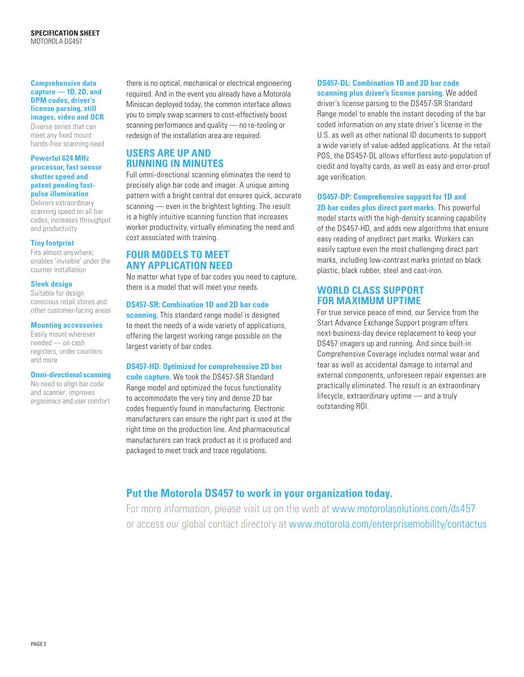#### **Comprehensive data capture — 1D, 2D, and DPM codes, driver's license parsing, still images, video and OCR**

Diverse series that can meet any fixed mount hands-free scanning need

#### **Powerful 624 MHz processor, fast sensor shutter speed and patent pending fastpulse illumination**

Delivers extraordinary scanning speed on all bar codes; increases throughput and productivity

#### **Tiny footprint**

Fits almost anywhere; enables 'invisible' under the counter installation

### **Sleek design**

Suitable for design conscious retail stores and other customer-facing areas

### **Mounting accessories**

Easily mount wherever needed — on cash registers, under counters and more

#### **Omni-directional scanning**

No need to align bar code and scanner; improves ergonimics and user comfort there is no optical, mechanical or electrical engineering required. And in the event you already have a Motorola Miniscan deployed today, the common interface allows you to simply swap scanners to cost-effectively boost scanning performance and quality — no re-tooling or redesign of the installation area are required.

# **USERS ARE UP AND RUNNING IN MINUTES**

Full omni-directional scanning eliminates the need to precisely align bar code and imager. A unique aiming pattern with a bright central dot ensures quick, accurate scanning — even in the brightest lighting. The result is a highly intuitive scanning function that increases worker productivity, virtually eliminating the need and cost associated with training.

# **FOUR MODELS TO MEET ANY APPLICATION NEED**

No matter what type of bar codes you need to capture, there is a model that will meet your needs.

#### **DS457-SR: Combination 1D and 2D bar code**

**scanning.** This standard range model is designed to meet the needs of a wide variety of applications, offering the largest working range possible on the largest variety of bar codes.

# **DS457-HD: Optimized for comprehensive 2D bar**

**code capture.** We took the DS457-SR Standard Range model and optimized the focus functionality to accommodate the very tiny and dense 2D bar codes frequently found in manufacturing. Electronic manufacturers can ensure the right part is used at the right time on the production line. And pharmaceutical manufacturers can track product as it is produced and packaged to meet track and trace regulations.

# **DS457-DL: Combination 1D and 2D bar code**

**scanning plus driver's license parsing.** We added driver's license parsing to the DS457-SR Standard Range model to enable the instant decoding of the bar coded information on any state driver's license in the U.S. as well as other national ID documents to support a wide variety of value-added applications. At the retail POS, the DS457-DL allows effortless auto-population of credit and loyalty cards, as well as easy and error-proof age verification.

# **DS457-DP: Comprehensive support for 1D and**

**2D bar codes plus direct part marks.** This powerful model starts with the high-density scanning capability of the DS457-HD, and adds new algorithms that ensure easy reading of anydirect part marks. Workers can easily capture even the most challenging direct part marks, including low-contrast marks printed on black plastic, black rubber, steel and cast-iron.

# **WORLD CLASS SUPPORT FOR MAXIMUM UPTIME**

For true service peace of mind, our Service from the Start Advance Exchange Support program offers next-business-day device replacement to keep your DS457 imagers up and running. And since built-in Comprehensive Coverage includes normal wear and tear as well as accidental damage to internal and external components, unforeseen repair expenses are practically eliminated. The result is an extraordinary lifecycle, extraordinary uptime — and a truly outstanding ROI.

# **Put the Motorola DS457 to work in your organization today.**

For more information, please visit us on the web at www.motorolasolutions.com/ds457 or access our global contact directory at www.motorola.com/enterprisemobility/contactus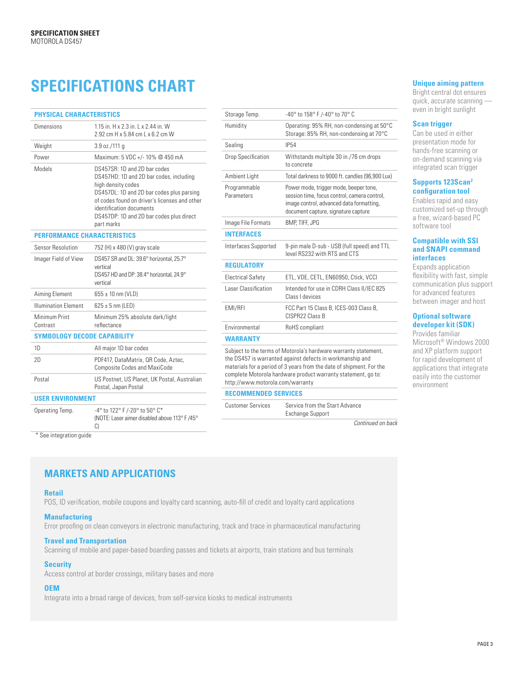# **SPECIFICATIONS CHART**

| <b>PHYSICAL CHARACTERISTICS</b>              |                                                                                                                                                                                                                                                                                                                     | Storage Temp.                                                                                                                                                                                        | -40° to 158° F /-40° to 70° C                                                                                                                                             |  |
|----------------------------------------------|---------------------------------------------------------------------------------------------------------------------------------------------------------------------------------------------------------------------------------------------------------------------------------------------------------------------|------------------------------------------------------------------------------------------------------------------------------------------------------------------------------------------------------|---------------------------------------------------------------------------------------------------------------------------------------------------------------------------|--|
| <b>Dimensions</b>                            | 1.15 in, H x 2.3 in, L x 2.44 in, W<br>2.92 cm H x 5.84 cm L x 6.2 cm W                                                                                                                                                                                                                                             | Humidity                                                                                                                                                                                             | Operating: 95% RH, non-condensing at 50°C<br>Storage: 85% RH, non-condensing at 70°C                                                                                      |  |
| Weight                                       | $3.9$ oz./111 g                                                                                                                                                                                                                                                                                                     | Sealing                                                                                                                                                                                              | <b>IP54</b>                                                                                                                                                               |  |
| Power<br>Models                              | Maximum: 5 VDC +/-10% @ 450 mA<br>DS457SR: 1D and 2D bar codes<br>DS457HD: 1D and 2D bar codes, including<br>high density codes<br>DS457DL: 1D and 2D bar codes plus parsing<br>of codes found on driver's licenses and other<br>identification documents<br>DS457DP: 1D and 2D bar codes plus direct<br>part marks | Drop Specification                                                                                                                                                                                   | Withstands multiple 30 in./76 cm drops<br>to concrete                                                                                                                     |  |
|                                              |                                                                                                                                                                                                                                                                                                                     | Ambient Light                                                                                                                                                                                        | Total darkness to 9000 ft. candles (96,900 Lux)                                                                                                                           |  |
|                                              |                                                                                                                                                                                                                                                                                                                     | Programmable<br>Parameters                                                                                                                                                                           | Power mode, trigger mode, beeper tone,<br>session time, focus control, camera control,<br>image control, advanced data formatting,<br>document capture, signature capture |  |
|                                              |                                                                                                                                                                                                                                                                                                                     | Image File Formats                                                                                                                                                                                   | BMP, TIFF, JPG                                                                                                                                                            |  |
| <b>PERFORMANCE CHARACTERISTICS</b>           |                                                                                                                                                                                                                                                                                                                     | <b>INTERFACES</b>                                                                                                                                                                                    |                                                                                                                                                                           |  |
| Sensor Resolution                            | 752 (H) x 480 (V) gray scale                                                                                                                                                                                                                                                                                        | Interfaces Supported                                                                                                                                                                                 | 9-pin male D-sub - USB (full speed) and TTL<br>level RS232 with RTS and CTS                                                                                               |  |
| Imager Field of View                         | DS457 SR and DL: 39.6° horizontal, 25.7°<br>vertical<br>DS457 HD and DP: 38.4° horizontal, 24.9°<br>vertical                                                                                                                                                                                                        | <b>REGULATORY</b>                                                                                                                                                                                    |                                                                                                                                                                           |  |
|                                              |                                                                                                                                                                                                                                                                                                                     | <b>Electrical Safety</b>                                                                                                                                                                             | ETL, VDE, CETL, EN60950, Ctick, VCCI                                                                                                                                      |  |
| Aiming Element                               | $655 \pm 10$ nm (VLD)                                                                                                                                                                                                                                                                                               | <b>Laser Classification</b>                                                                                                                                                                          | Intended for use in CDRH Class II/IEC 825<br>Class I devices                                                                                                              |  |
| <b>Illumination Element</b><br>Minimum Print | $625 \pm 5$ nm (LED)<br>Minimum 25% absolute dark/light                                                                                                                                                                                                                                                             | EMI/RFI                                                                                                                                                                                              | FCC Part 15 Class B, ICES-003 Class B,<br>CISPR22 Class B                                                                                                                 |  |
| Contrast                                     | reflectance                                                                                                                                                                                                                                                                                                         | Environmental                                                                                                                                                                                        | RoHS compliant                                                                                                                                                            |  |
| <b>SYMBOLOGY DECODE CAPABILITY</b>           |                                                                                                                                                                                                                                                                                                                     | <b>WARRANTY</b>                                                                                                                                                                                      |                                                                                                                                                                           |  |
| 1D                                           | All major 1D bar codes                                                                                                                                                                                                                                                                                              | Subject to the terms of Motorola's hardware warranty statement,<br>the DS457 is warranted against defects in workmanship and<br>materials for a period of 3 years from the date of shipment. For the |                                                                                                                                                                           |  |
| 2D                                           | PDF417, DataMatrix, QR Code, Aztec,<br><b>Composite Codes and MaxiCode</b>                                                                                                                                                                                                                                          |                                                                                                                                                                                                      |                                                                                                                                                                           |  |
| Postal                                       | US Postnet, US Planet, UK Postal, Australian<br>Postal, Japan Postal                                                                                                                                                                                                                                                | complete Motorola hardware product warranty statement, go to:<br>http://www.motorola.com/warranty                                                                                                    |                                                                                                                                                                           |  |
| <b>USER ENVIRONMENT</b>                      |                                                                                                                                                                                                                                                                                                                     | <b>RECOMMENDED SERVICES</b>                                                                                                                                                                          |                                                                                                                                                                           |  |
| Operating Temp.                              | -4° to 122° F /-20° to 50° C*<br>(NOTE: Laser aimer disabled above 113° F/45°<br>C)                                                                                                                                                                                                                                 | <b>Customer Services</b>                                                                                                                                                                             | Service from the Start Advance<br><b>Exchange Support</b>                                                                                                                 |  |
|                                              |                                                                                                                                                                                                                                                                                                                     |                                                                                                                                                                                                      | Continued on back                                                                                                                                                         |  |

\* See integration guide

| Storage Temp.                                                                                                                                                                                                                                                                                             | -40° to 158° F /-40° to 70° C                                                                                                                                             |  |  |  |  |  |
|-----------------------------------------------------------------------------------------------------------------------------------------------------------------------------------------------------------------------------------------------------------------------------------------------------------|---------------------------------------------------------------------------------------------------------------------------------------------------------------------------|--|--|--|--|--|
| Humidity                                                                                                                                                                                                                                                                                                  | Operating: 95% RH, non-condensing at 50°C<br>Storage: 85% RH, non-condensing at 70°C                                                                                      |  |  |  |  |  |
| Sealing                                                                                                                                                                                                                                                                                                   | <b>IP54</b>                                                                                                                                                               |  |  |  |  |  |
| <b>Drop Specification</b>                                                                                                                                                                                                                                                                                 | Withstands multiple 30 in./76 cm drops<br>to concrete                                                                                                                     |  |  |  |  |  |
| Ambient Light                                                                                                                                                                                                                                                                                             | Total darkness to 9000 ft. candles (96,900 Lux)                                                                                                                           |  |  |  |  |  |
| Programmable<br>Parameters                                                                                                                                                                                                                                                                                | Power mode, trigger mode, beeper tone,<br>session time, focus control, camera control,<br>image control, advanced data formatting,<br>document capture, signature capture |  |  |  |  |  |
| Image File Formats                                                                                                                                                                                                                                                                                        | BMP, TIFF, JPG                                                                                                                                                            |  |  |  |  |  |
| <b>INTERFACES</b>                                                                                                                                                                                                                                                                                         |                                                                                                                                                                           |  |  |  |  |  |
| Interfaces Supported                                                                                                                                                                                                                                                                                      | 9-pin male D-sub - USB (full speed) and TTL<br>level RS232 with RTS and CTS                                                                                               |  |  |  |  |  |
| <b>REGULATORY</b>                                                                                                                                                                                                                                                                                         |                                                                                                                                                                           |  |  |  |  |  |
| <b>Electrical Safety</b>                                                                                                                                                                                                                                                                                  | ETL, VDE, CETL, EN60950, Ctick, VCCI                                                                                                                                      |  |  |  |  |  |
| Laser Classification                                                                                                                                                                                                                                                                                      | Intended for use in CDRH Class II/IEC 825<br>Class I devices                                                                                                              |  |  |  |  |  |
| EMI/RFI                                                                                                                                                                                                                                                                                                   | FCC Part 15 Class B, ICES-003 Class B,<br>CISPR22 Class B                                                                                                                 |  |  |  |  |  |
| Environmental                                                                                                                                                                                                                                                                                             | RoHS compliant                                                                                                                                                            |  |  |  |  |  |
| <b>WARRANTY</b>                                                                                                                                                                                                                                                                                           |                                                                                                                                                                           |  |  |  |  |  |
| Subject to the terms of Motorola's hardware warranty statement,<br>the DS457 is warranted against defects in workmanship and<br>materials for a period of 3 years from the date of shipment. For the<br>complete Motorola hardware product warranty statement, go to:<br>http://www.motorola.com/warranty |                                                                                                                                                                           |  |  |  |  |  |
| <b>RECOMMENDED SERVICES</b>                                                                                                                                                                                                                                                                               |                                                                                                                                                                           |  |  |  |  |  |

# **Unique aiming pattern**

Bright central dot ensures quick, accurate scanning even in bright sunlight

#### **Scan trigger**

Can be used in either presentation mode for hands-free scanning or on-demand scanning via integrated scan trigger

#### **Supports 123Scan2 configuration tool**

Enables rapid and easy customized set-up through a free, wizard-based PC software tool

#### **Compatible with SSI and SNAPI command interfaces**

Expands application flexibility with fast, simple communication plus support for advanced features between imager and host

#### **Optional software developer kit (SDK)**

Provides familiar Microsoft® Windows 2000 and XP platform support for rapid development of applications that integrate easily into the customer environment

# **MARKETS AND APPLICATIONS**

#### **Retail**

POS, ID verification, mobile coupons and loyalty card scanning, auto-fill of credit and loyalty card applications

#### **Manufacturing**

Error proofing on clean conveyors in electronic manufacturing, track and trace in pharmaceutical manufacturing

#### **Travel and Transportation**

Scanning of mobile and paper-based boarding passes and tickets at airports, train stations and bus terminals

# **Security**

Access control at border crossings, military bases and more

# **OEM**

Integrate into a broad range of devices, from self-service kiosks to medical instruments